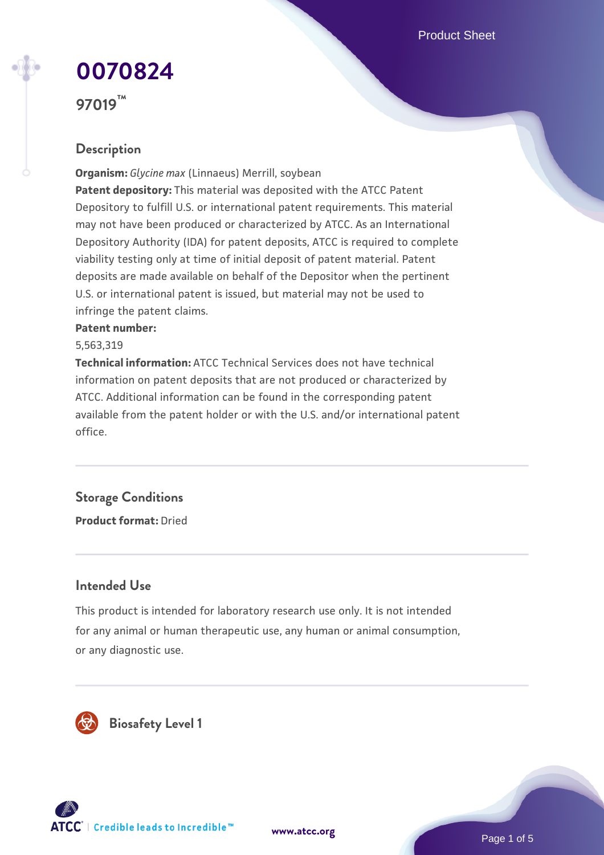Product Sheet

# **[0070824](https://www.atcc.org/products/97019)**

**97019™**

## **Description**

**Organism:** *Glycine max* (Linnaeus) Merrill, soybean **Patent depository:** This material was deposited with the ATCC Patent Depository to fulfill U.S. or international patent requirements. This material may not have been produced or characterized by ATCC. As an International Depository Authority (IDA) for patent deposits, ATCC is required to complete viability testing only at time of initial deposit of patent material. Patent deposits are made available on behalf of the Depositor when the pertinent U.S. or international patent is issued, but material may not be used to infringe the patent claims.

#### **Patent number:**

5,563,319

**Technical information:** ATCC Technical Services does not have technical information on patent deposits that are not produced or characterized by ATCC. Additional information can be found in the corresponding patent available from the patent holder or with the U.S. and/or international patent office.

# **Storage Conditions**

**Product format:** Dried

#### **Intended Use**

This product is intended for laboratory research use only. It is not intended for any animal or human therapeutic use, any human or animal consumption, or any diagnostic use.





Page 1 of 5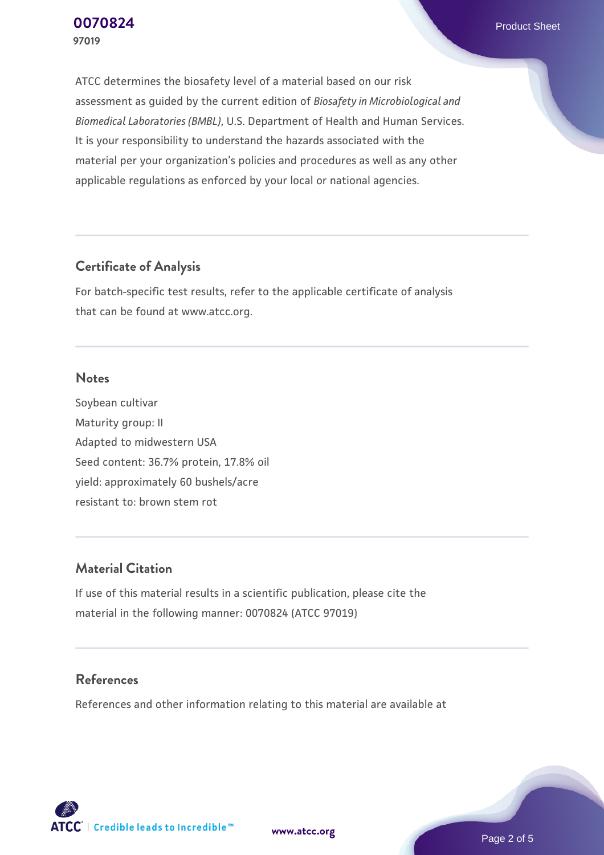ATCC determines the biosafety level of a material based on our risk assessment as guided by the current edition of *Biosafety in Microbiological and Biomedical Laboratories (BMBL)*, U.S. Department of Health and Human Services. It is your responsibility to understand the hazards associated with the material per your organization's policies and procedures as well as any other applicable regulations as enforced by your local or national agencies.

#### **Certificate of Analysis**

For batch-specific test results, refer to the applicable certificate of analysis that can be found at www.atcc.org.

#### **Notes**

Soybean cultivar Maturity group: II Adapted to midwestern USA Seed content: 36.7% protein, 17.8% oil yield: approximately 60 bushels/acre resistant to: brown stem rot

#### **Material Citation**

If use of this material results in a scientific publication, please cite the material in the following manner: 0070824 (ATCC 97019)

#### **References**

References and other information relating to this material are available at



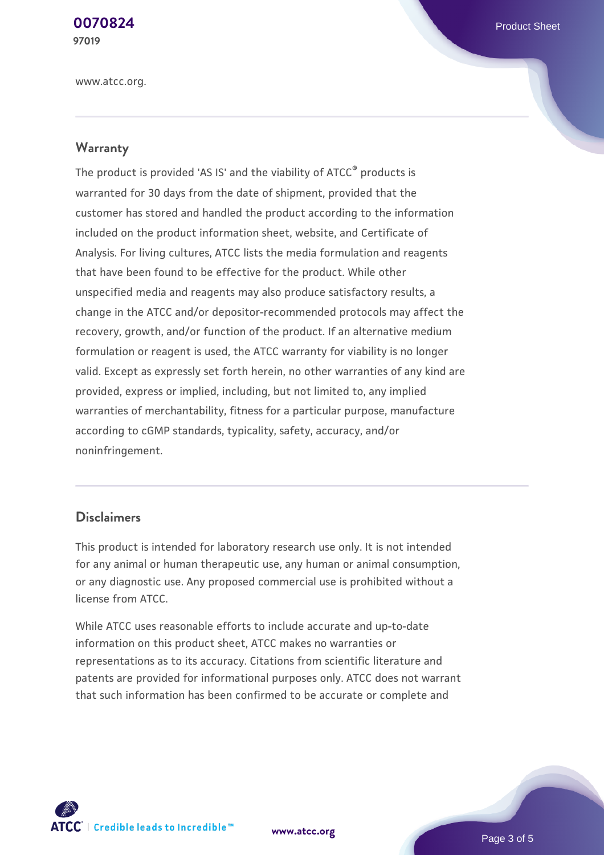**[0070824](https://www.atcc.org/products/97019)** Product Sheet **97019**

www.atcc.org.

#### **Warranty**

The product is provided 'AS IS' and the viability of ATCC® products is warranted for 30 days from the date of shipment, provided that the customer has stored and handled the product according to the information included on the product information sheet, website, and Certificate of Analysis. For living cultures, ATCC lists the media formulation and reagents that have been found to be effective for the product. While other unspecified media and reagents may also produce satisfactory results, a change in the ATCC and/or depositor-recommended protocols may affect the recovery, growth, and/or function of the product. If an alternative medium formulation or reagent is used, the ATCC warranty for viability is no longer valid. Except as expressly set forth herein, no other warranties of any kind are provided, express or implied, including, but not limited to, any implied warranties of merchantability, fitness for a particular purpose, manufacture according to cGMP standards, typicality, safety, accuracy, and/or noninfringement.

#### **Disclaimers**

This product is intended for laboratory research use only. It is not intended for any animal or human therapeutic use, any human or animal consumption, or any diagnostic use. Any proposed commercial use is prohibited without a license from ATCC.

While ATCC uses reasonable efforts to include accurate and up-to-date information on this product sheet, ATCC makes no warranties or representations as to its accuracy. Citations from scientific literature and patents are provided for informational purposes only. ATCC does not warrant that such information has been confirmed to be accurate or complete and



**[www.atcc.org](http://www.atcc.org)**

Page 3 of 5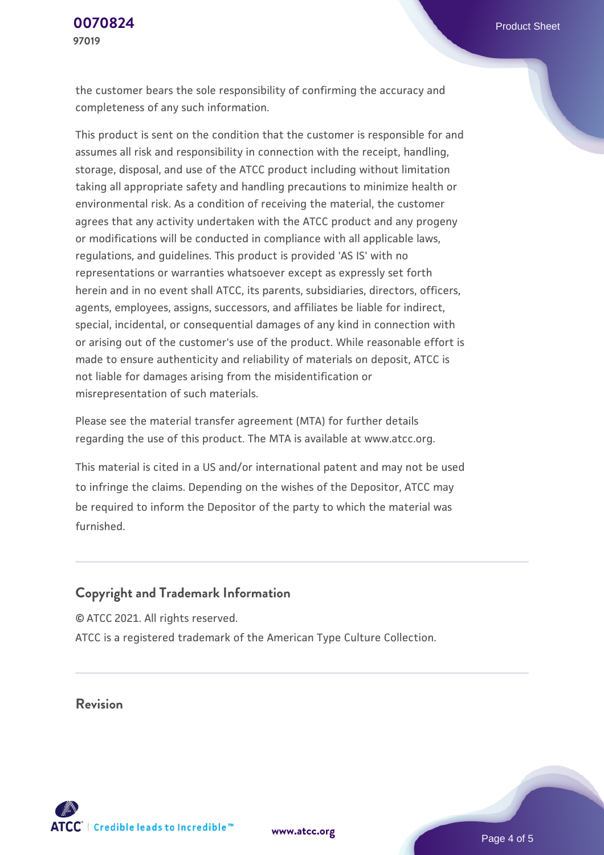the customer bears the sole responsibility of confirming the accuracy and completeness of any such information.

This product is sent on the condition that the customer is responsible for and assumes all risk and responsibility in connection with the receipt, handling, storage, disposal, and use of the ATCC product including without limitation taking all appropriate safety and handling precautions to minimize health or environmental risk. As a condition of receiving the material, the customer agrees that any activity undertaken with the ATCC product and any progeny or modifications will be conducted in compliance with all applicable laws, regulations, and guidelines. This product is provided 'AS IS' with no representations or warranties whatsoever except as expressly set forth herein and in no event shall ATCC, its parents, subsidiaries, directors, officers, agents, employees, assigns, successors, and affiliates be liable for indirect, special, incidental, or consequential damages of any kind in connection with or arising out of the customer's use of the product. While reasonable effort is made to ensure authenticity and reliability of materials on deposit, ATCC is not liable for damages arising from the misidentification or misrepresentation of such materials.

Please see the material transfer agreement (MTA) for further details regarding the use of this product. The MTA is available at www.atcc.org.

This material is cited in a US and/or international patent and may not be used to infringe the claims. Depending on the wishes of the Depositor, ATCC may be required to inform the Depositor of the party to which the material was furnished.

#### **Copyright and Trademark Information**

© ATCC 2021. All rights reserved. ATCC is a registered trademark of the American Type Culture Collection.

#### **Revision**



**[www.atcc.org](http://www.atcc.org)**

Page 4 of 5